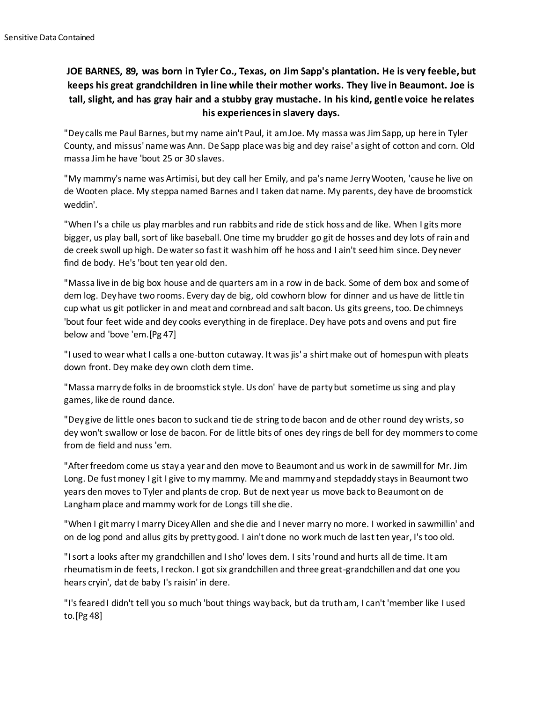## **JOE BARNES, 89, was born in Tyler Co., Texas, on Jim Sapp's plantation. He is very feeble, but keeps his great grandchildren in line while their mother works. They live in Beaumont. Joe is tall, slight, and has gray hair and a stubby gray mustache. In his kind, gentle voice he relates his experiences in slavery days.**

"Dey calls me Paul Barnes, but my name ain't Paul, it am Joe. My massa was Jim Sapp, up here in Tyler County, and missus' name was Ann. De Sapp place was big and dey raise' a sight of cotton and corn. Old massa Jim he have 'bout 25 or 30 slaves.

"My mammy's name was Artimisi, but dey call her Emily, and pa's name Jerry Wooten, 'cause he live on de Wooten place. My steppa named Barnes and I taken dat name. My parents, dey have de broomstick weddin'.

"When I's a chile us play marbles and run rabbits and ride de stick hoss and de like. When I gits more bigger, us play ball, sort of like baseball. One time my brudder go git de hosses and dey lots of rain and de creek swoll up high. De water so fast it wash him off he hoss and I ain't seed him since. Dey never find de body. He's 'bout ten year old den.

"Massa live in de big box house and de quarters am in a row in de back. Some of dem box and some of dem log. Dey have two rooms. Every day de big, old cowhorn blow for dinner and us have de little tin cup what us git potlicker in and meat and cornbread and salt bacon. Us gits greens, too. De chimneys 'bout four feet wide and dey cooks everything in de fireplace. Dey have pots and ovens and put fire below and 'bove 'em.[Pg 47]

"I used to wear what I calls a one-button cutaway. It was jis' a shirt make out of homespun with pleats down front. Dey make dey own cloth dem time.

"Massa marry de folks in de broomstick style. Us don' have de party but sometime us sing and play games, like de round dance.

"Dey give de little ones bacon to suck and tie de string to de bacon and de other round dey wrists, so dey won't swallow or lose de bacon. For de little bits of ones dey rings de bell for dey mommers to come from de field and nuss 'em.

"After freedom come us stay a year and den move to Beaumont and us work in de sawmill for Mr. Jim Long. De fust money I git I give to my mammy. Me and mammy and stepdaddy stays in Beaumont two years den moves to Tyler and plants de crop. But de next year us move back to Beaumont on de Langham place and mammy work for de Longs till she die.

"When I git marry I marry Dicey Allen and she die and I never marry no more. I worked in sawmillin' and on de log pond and allus gits by pretty good. I ain't done no work much de last ten year, I's too old.

"I sort a looks after my grandchillen and I sho' loves dem. I sits 'round and hurts all de time. It am rheumatism in de feets, I reckon. I got six grandchillen and three great-grandchillen and dat one you hears cryin', dat de baby I's raisin' in dere.

"I's feared I didn't tell you so much 'bout things way back, but da truth am, I can't 'member like I used to.[Pg 48]